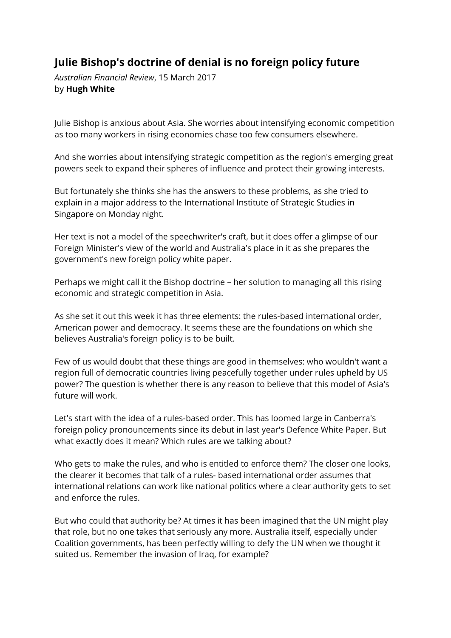## **Julie Bishop's doctrine of denial is no foreign policy future**

*Australian Financial Review*, 15 March 2017 by **Hugh White**

Julie Bishop is anxious about Asia. She worries about intensifying economic competition as too many workers in rising economies chase too few consumers elsewhere.

And she worries about intensifying strategic competition as the region's emerging great powers seek to expand their spheres of influence and protect their growing interests.

But fortunately she thinks she has the answers to these problems, as she tried to explain in a major address to the International Institute of Strategic Studies in Singapore on Monday night.

Her text is not a model of the speechwriter's craft, but it does offer a glimpse of our Foreign Minister's view of the world and Australia's place in it as she prepares the government's new foreign policy white paper.

Perhaps we might call it the Bishop doctrine – her solution to managing all this rising economic and strategic competition in Asia.

As she set it out this week it has three elements: the rules-based international order, American power and democracy. It seems these are the foundations on which she believes Australia's foreign policy is to be built.

Few of us would doubt that these things are good in themselves: who wouldn't want a region full of democratic countries living peacefully together under rules upheld by US power? The question is whether there is any reason to believe that this model of Asia's future will work.

Let's start with the idea of a rules-based order. This has loomed large in Canberra's foreign policy pronouncements since its debut in last year's Defence White Paper. But what exactly does it mean? Which rules are we talking about?

Who gets to make the rules, and who is entitled to enforce them? The closer one looks, the clearer it becomes that talk of a rules- based international order assumes that international relations can work like national politics where a clear authority gets to set and enforce the rules.

But who could that authority be? At times it has been imagined that the UN might play that role, but no one takes that seriously any more. Australia itself, especially under Coalition governments, has been perfectly willing to defy the UN when we thought it suited us. Remember the invasion of Iraq, for example?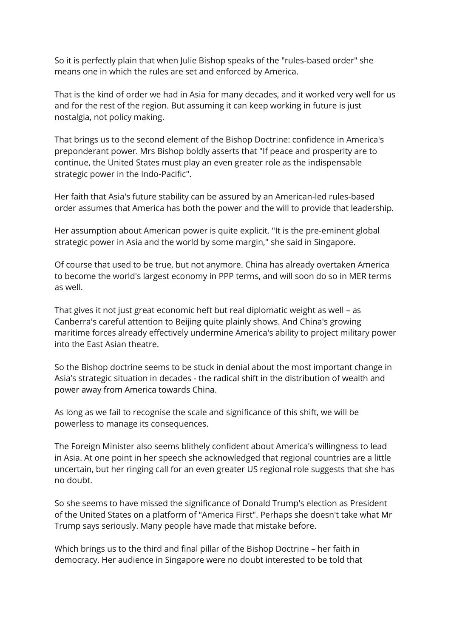So it is perfectly plain that when Julie Bishop speaks of the "rules-based order" she means one in which the rules are set and enforced by America.

That is the kind of order we had in Asia for many decades, and it worked very well for us and for the rest of the region. But assuming it can keep working in future is just nostalgia, not policy making.

That brings us to the second element of the Bishop Doctrine: confidence in America's preponderant power. Mrs Bishop boldly asserts that "If peace and prosperity are to continue, the United States must play an even greater role as the indispensable strategic power in the Indo-Pacific".

Her faith that Asia's future stability can be assured by an American-led rules-based order assumes that America has both the power and the will to provide that leadership.

Her assumption about American power is quite explicit. "It is the pre-eminent global strategic power in Asia and the world by some margin," she said in Singapore.

Of course that used to be true, but not anymore. China has already overtaken America to become the world's largest economy in PPP terms, and will soon do so in MER terms as well.

That gives it not just great economic heft but real diplomatic weight as well – as Canberra's careful attention to Beijing quite plainly shows. And China's growing maritime forces already effectively undermine America's ability to project military power into the East Asian theatre.

So the Bishop doctrine seems to be stuck in denial about the most important change in Asia's strategic situation in decades - the radical shift in the distribution of wealth and power away from America towards China.

As long as we fail to recognise the scale and significance of this shift, we will be powerless to manage its consequences.

The Foreign Minister also seems blithely confident about America's willingness to lead in Asia. At one point in her speech she acknowledged that regional countries are a little uncertain, but her ringing call for an even greater US regional role suggests that she has no doubt.

So she seems to have missed the significance of Donald Trump's election as President of the United States on a platform of "America First". Perhaps she doesn't take what Mr Trump says seriously. Many people have made that mistake before.

Which brings us to the third and final pillar of the Bishop Doctrine – her faith in democracy. Her audience in Singapore were no doubt interested to be told that